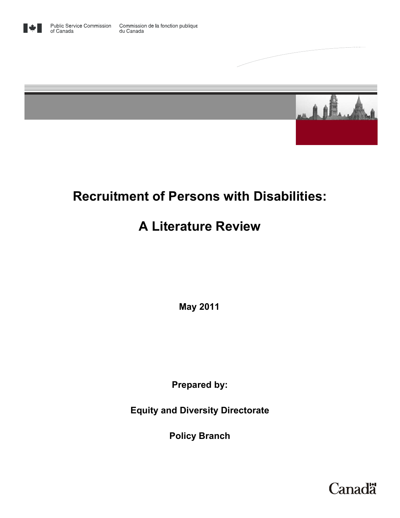





# **Recruitment of Persons with Disabilities:**

# **A Literature Review**

 **May 2011** 

**Prepared by:** 

**Equity and Diversity Directorate** 

**Policy Branch** 

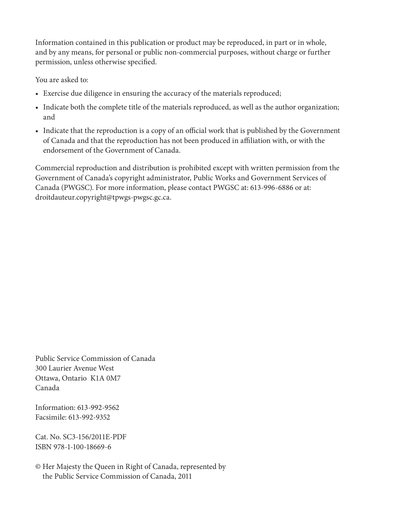Information contained in this publication or product may be reproduced, in part or in whole, and by any means, for personal or public non-commercial purposes, without charge or further permission, unless otherwise specified.

You are asked to:

- Exercise due diligence in ensuring the accuracy of the materials reproduced;
- Indicate both the complete title of the materials reproduced, as well as the author organization; and
- Indicate that the reproduction is a copy of an official work that is published by the Government of Canada and that the reproduction has not been produced in affiliation with, or with the endorsement of the Government of Canada.

Commercial reproduction and distribution is prohibited except with written permission from the Government of Canada's copyright administrator, Public Works and Government Services of Canada (PWGSC). For more information, please contact PWGSC at: 613-996-6886 or at: droitdauteur.copyright@tpwgs-pwgsc.gc.ca.

Public Service Commission of Canada 300 Laurier Avenue West Ottawa, Ontario K1A 0M7 Canada

Information: 613-992-9562 Facsimile: 613-992-9352

Cat. No. SC3-156/2011E-PDF ISBN 978-1-100-18669-6

© Her Majesty the Queen in Right of Canada, represented by the Public Service Commission of Canada, 2011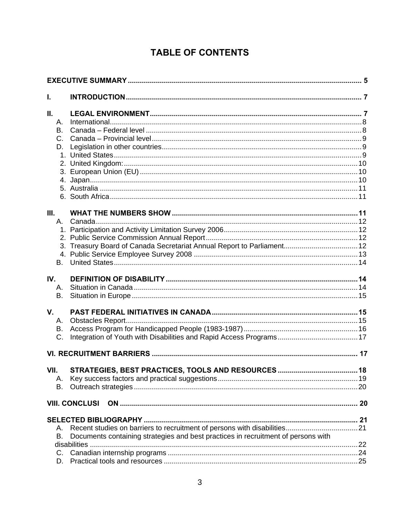# **TABLE OF CONTENTS**

| I.                               |                                                                                   |  |
|----------------------------------|-----------------------------------------------------------------------------------|--|
| II.<br>А.<br>В.<br>$C_{1}$<br>D. |                                                                                   |  |
| III.<br>A.<br>В.                 |                                                                                   |  |
| IV.<br>А.<br>В.                  |                                                                                   |  |
| V.<br>А.<br>В.<br>C.             |                                                                                   |  |
|                                  |                                                                                   |  |
| VII.<br>Α.<br>В.                 |                                                                                   |  |
|                                  | <b>VIII. CONCLUSI</b>                                                             |  |
| А.<br>В.<br>C.                   | Documents containing strategies and best practices in recruitment of persons with |  |
| D.                               |                                                                                   |  |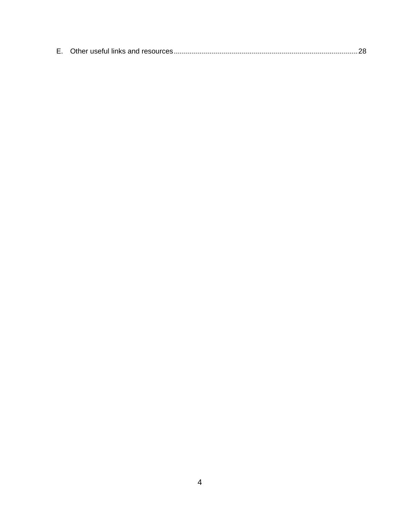|--|--|--|--|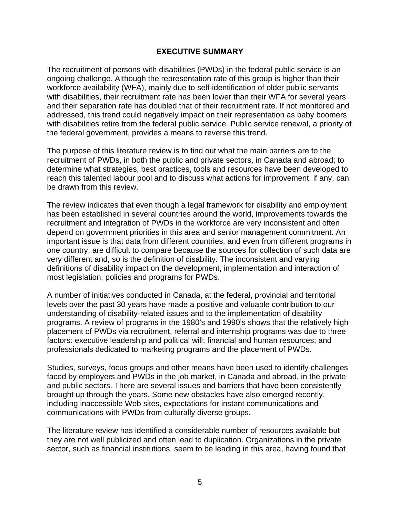#### **EXECUTIVE SUMMARY**

The recruitment of persons with disabilities (PWDs) in the federal public service is an ongoing challenge. Although the representation rate of this group is higher than their workforce availability (WFA), mainly due to self-identification of older public servants with disabilities, their recruitment rate has been lower than their WFA for several years and their separation rate has doubled that of their recruitment rate. If not monitored and addressed, this trend could negatively impact on their representation as baby boomers with disabilities retire from the federal public service. Public service renewal, a priority of the federal government, provides a means to reverse this trend.

The purpose of this literature review is to find out what the main barriers are to the recruitment of PWDs, in both the public and private sectors, in Canada and abroad; to determine what strategies, best practices, tools and resources have been developed to reach this talented labour pool and to discuss what actions for improvement, if any, can be drawn from this review.

The review indicates that even though a legal framework for disability and employment has been established in several countries around the world, improvements towards the recruitment and integration of PWDs in the workforce are very inconsistent and often depend on government priorities in this area and senior management commitment. An important issue is that data from different countries, and even from different programs in one country, are difficult to compare because the sources for collection of such data are very different and, so is the definition of disability. The inconsistent and varying definitions of disability impact on the development, implementation and interaction of most legislation, policies and programs for PWDs.

A number of initiatives conducted in Canada, at the federal, provincial and territorial levels over the past 30 years have made a positive and valuable contribution to our understanding of disability-related issues and to the implementation of disability programs. A review of programs in the 1980's and 1990's shows that the relatively high placement of PWDs via recruitment, referral and internship programs was due to three factors: executive leadership and political will; financial and human resources; and professionals dedicated to marketing programs and the placement of PWDs.

Studies, surveys, focus groups and other means have been used to identify challenges faced by employers and PWDs in the job market, in Canada and abroad, in the private and public sectors. There are several issues and barriers that have been consistently brought up through the years. Some new obstacles have also emerged recently, including inaccessible Web sites, expectations for instant communications and communications with PWDs from culturally diverse groups.

The literature review has identified a considerable number of resources available but they are not well publicized and often lead to duplication. Organizations in the private sector, such as financial institutions, seem to be leading in this area, having found that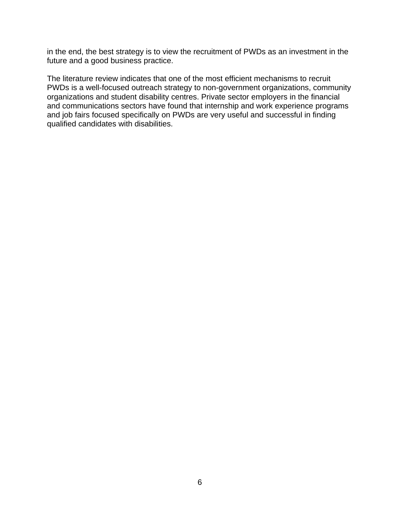in the end, the best strategy is to view the recruitment of PWDs as an investment in the future and a good business practice.

The literature review indicates that one of the most efficient mechanisms to recruit PWDs is a well-focused outreach strategy to non-government organizations, community organizations and student disability centres. Private sector employers in the financial and communications sectors have found that internship and work experience programs and job fairs focused specifically on PWDs are very useful and successful in finding qualified candidates with disabilities.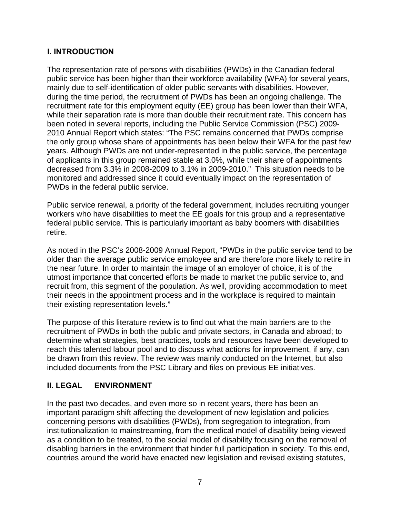## **I. INTRODUCTION**

The representation rate of persons with disabilities (PWDs) in the Canadian federal public service has been higher than their workforce availability (WFA) for several years, mainly due to self-identification of older public servants with disabilities. However, during the time period, the recruitment of PWDs has been an ongoing challenge. The recruitment rate for this employment equity (EE) group has been lower than their WFA, while their separation rate is more than double their recruitment rate. This concern has been noted in several reports, including the Public Service Commission (PSC) 2009- 2010 Annual Report which states: "The PSC remains concerned that PWDs comprise the only group whose share of appointments has been below their WFA for the past few years. Although PWDs are not under-represented in the public service, the percentage of applicants in this group remained stable at 3.0%, while their share of appointments decreased from 3.3% in 2008-2009 to 3.1% in 2009-2010." This situation needs to be monitored and addressed since it could eventually impact on the representation of PWDs in the federal public service.

Public service renewal, a priority of the federal government, includes recruiting younger workers who have disabilities to meet the EE goals for this group and a representative federal public service. This is particularly important as baby boomers with disabilities retire.

As noted in the PSC's 2008-2009 Annual Report, "PWDs in the public service tend to be older than the average public service employee and are therefore more likely to retire in the near future. In order to maintain the image of an employer of choice, it is of the utmost importance that concerted efforts be made to market the public service to, and recruit from, this segment of the population. As well, providing accommodation to meet their needs in the appointment process and in the workplace is required to maintain their existing representation levels."

The purpose of this literature review is to find out what the main barriers are to the recruitment of PWDs in both the public and private sectors, in Canada and abroad; to determine what strategies, best practices, tools and resources have been developed to reach this talented labour pool and to discuss what actions for improvement, if any, can be drawn from this review. The review was mainly conducted on the Internet, but also included documents from the PSC Library and files on previous EE initiatives.

# **II. LEGAL ENVIRONMENT**

In the past two decades, and even more so in recent years, there has been an important paradigm shift affecting the development of new legislation and policies concerning persons with disabilities (PWDs), from segregation to integration, from institutionalization to mainstreaming, from the medical model of disability being viewed as a condition to be treated, to the social model of disability focusing on the removal of disabling barriers in the environment that hinder full participation in society. To this end, countries around the world have enacted new legislation and revised existing statutes,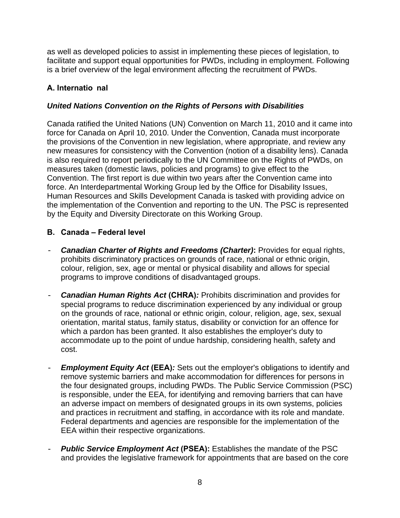as well as developed policies to assist in implementing these pieces of legislation, to facilitate and support equal opportunities for PWDs, including in employment. Following is a brief overview of the legal environment affecting the recruitment of PWDs.

# **A. Internatio nal**

# *United Nations Convention on the Rights of Persons with Disabilities*

Canada ratified the United Nations (UN) Convention on March 11, 2010 and it came into force for Canada on April 10, 2010. Under the Convention, Canada must incorporate the provisions of the Convention in new legislation, where appropriate, and review any new measures for consistency with the Convention (notion of a disability lens). Canada is also required to report periodically to the UN Committee on the Rights of PWDs, on measures taken (domestic laws, policies and programs) to give effect to the Convention. The first report is due within two years after the Convention came into force. An Interdepartmental Working Group led by the Office for Disability Issues, Human Resources and Skills Development Canada is tasked with providing advice on the implementation of the Convention and reporting to the UN. The PSC is represented by the Equity and Diversity Directorate on this Working Group.

## **B. Canada – Federal level**

- *Canadian Charter of Rights and Freedoms (Charter)***:** Provides for equal rights, prohibits discriminatory practices on grounds of race, national or ethnic origin, colour, religion, sex, age or mental or physical disability and allows for special programs to improve conditions of disadvantaged groups.
- **Canadian Human Rights Act (CHRA):** Prohibits discrimination and provides for special programs to reduce discrimination experienced by any individual or group on the grounds of race, national or ethnic origin, colour, religion, age, sex, sexual orientation, marital status, family status, disability or conviction for an offence for which a pardon has been granted. It also establishes the employer's duty to accommodate up to the point of undue hardship, considering health, safety and cost.
- **Employment Equity Act (EEA)**: Sets out the employer's obligations to identify and remove systemic barriers and make accommodation for differences for persons in the four designated groups, including PWDs. The Public Service Commission (PSC) is responsible, under the EEA, for identifying and removing barriers that can have an adverse impact on members of designated groups in its own systems, policies and practices in recruitment and staffing, in accordance with its role and mandate. Federal departments and agencies are responsible for the implementation of the EEA within their respective organizations.
- **Public Service Employment Act (PSEA):** Establishes the mandate of the PSC and provides the legislative framework for appointments that are based on the core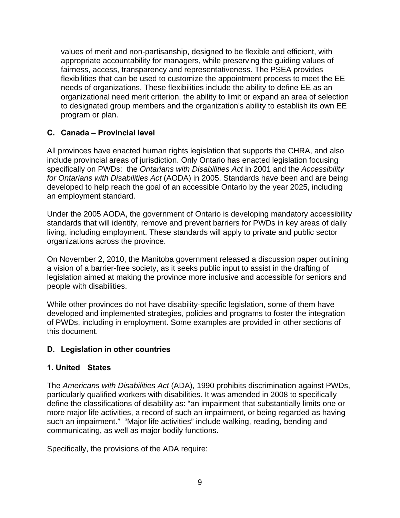values of merit and non-partisanship, designed to be flexible and efficient, with appropriate accountability for managers, while preserving the guiding values of fairness, access, transparency and representativeness. The PSEA provides flexibilities that can be used to customize the appointment process to meet the EE needs of organizations. These flexibilities include the ability to define EE as an organizational need merit criterion, the ability to limit or expand an area of selection to designated group members and the organization's ability to establish its own EE program or plan.

## **C. Canada – Provincial level**

All provinces have enacted human rights legislation that supports the CHRA, and also include provincial areas of jurisdiction. Only Ontario has enacted legislation focusing specifically on PWDs: the *Ontarians with Disabilities Act* in 2001 and the *Accessibility for Ontarians with Disabilities Act* (AODA) in 2005. Standards have been and are being developed to help reach the goal of an accessible Ontario by the year 2025, including an employment standard.

Under the 2005 AODA, the government of Ontario is developing mandatory accessibility standards that will identify, remove and prevent barriers for PWDs in key areas of daily living, including employment. These standards will apply to private and public sector organizations across the province.

On November 2, 2010, the Manitoba government released a discussion paper outlining a vision of a barrier-free society, as it seeks public input to assist in the drafting of legislation aimed at making the province more inclusive and accessible for seniors and people with disabilities.

While other provinces do not have disability-specific legislation, some of them have developed and implemented strategies, policies and programs to foster the integration of PWDs, including in employment. Some examples are provided in other sections of this document.

## **D. Legislation in other countries**

## **1. United States**

The *Americans with Disabilities Act* (ADA), 1990 prohibits discrimination against PWDs, particularly qualified workers with disabilities. It was amended in 2008 to specifically define the classifications of disability as: "an impairment that substantially limits one or more major life activities, a record of such an impairment, or being regarded as having such an impairment." "Major life activities" include walking, reading, bending and communicating, as well as major bodily functions.

Specifically, the provisions of the ADA require: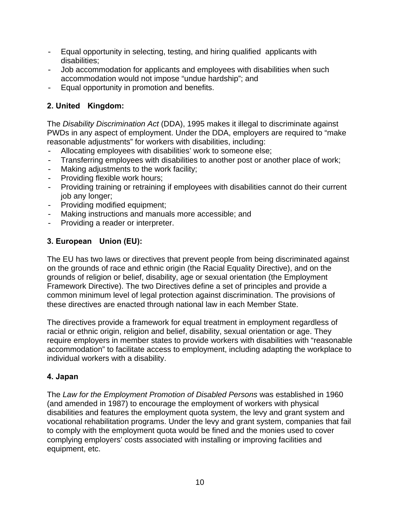- Equal opportunity in selecting, testing, and hiring qualified applicants with disabilities;
- Job accommodation for applicants and employees with disabilities when such accommodation would not impose "undue hardship"; and
- Equal opportunity in promotion and benefits.

# **2. United Kingdom:**

The *Disability Discrimination Act* (DDA), 1995 makes it illegal to discriminate against PWDs in any aspect of employment. Under the DDA, employers are required to "make reasonable adjustments" for workers with disabilities, including:

- Allocating employees with disabilities' work to someone else;
- Transferring employees with disabilities to another post or another place of work;
- Making adjustments to the work facility;
- Providing flexible work hours;
- Providing training or retraining if employees with disabilities cannot do their current job any longer;
- Providing modified equipment;
- Making instructions and manuals more accessible; and
- Providing a reader or interpreter.

# **3. European Union (EU):**

The EU has two laws or directives that prevent people from being discriminated against on the grounds of race and ethnic origin (the Racial Equality Directive), and on the grounds of religion or belief, disability, age or sexual orientation (the Employment Framework Directive). The two Directives define a set of principles and provide a common minimum level of legal protection against discrimination. The provisions of these directives are enacted through national law in each Member State.

The directives provide a framework for equal treatment in employment regardless of racial or ethnic origin, religion and belief, disability, sexual orientation or age. They require employers in member states to provide workers with disabilities with "reasonable accommodation" to facilitate access to employment, including adapting the workplace to individual workers with a disability.

# **4. Japan**

The *Law for the Employment Promotion of Disabled Persons* was established in 1960 (and amended in 1987) to encourage the employment of workers with physical disabilities and features the employment quota system, the levy and grant system and vocational rehabilitation programs. Under the levy and grant system, companies that fail to comply with the employment quota would be fined and the monies used to cover complying employers' costs associated with installing or improving facilities and equipment, etc.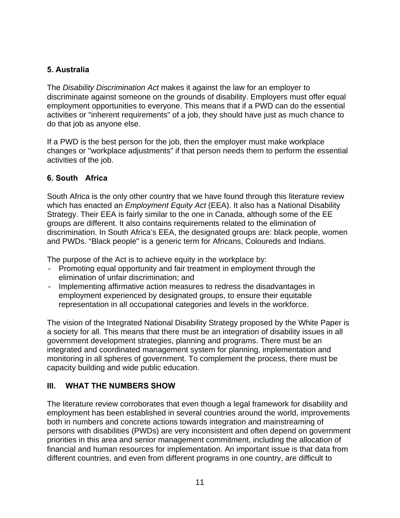# **5. Australia**

The *Disability Discrimination Act* makes it against the law for an employer to discriminate against someone on the grounds of disability. Employers must offer equal employment opportunities to everyone. This means that if a PWD can do the essential activities or "inherent requirements" of a job, they should have just as much chance to do that job as anyone else.

If a PWD is the best person for the job, then the employer must make workplace changes or "workplace adjustments" if that person needs them to perform the essential activities of the job.

## **6. South Africa**

South Africa is the only other country that we have found through this literature review which has enacted an *Employment Equity Act* (EEA). It also has a National Disability Strategy. Their EEA is fairly similar to the one in Canada, although some of the EE groups are different. It also contains requirements related to the elimination of discrimination. In South Africa's EEA, the designated groups are: black people, women and PWDs. "Black people" is a generic term for Africans, Coloureds and Indians.

The purpose of the Act is to achieve equity in the workplace by:

- Promoting equal opportunity and fair treatment in employment through the elimination of unfair discrimination; and
- Implementing affirmative action measures to redress the disadvantages in employment experienced by designated groups, to ensure their equitable representation in all occupational categories and levels in the workforce.

The vision of the Integrated National Disability Strategy proposed by the White Paper is a society for all. This means that there must be an integration of disability issues in all government development strategies, planning and programs. There must be an integrated and coordinated management system for planning, implementation and monitoring in all spheres of government. To complement the process, there must be capacity building and wide public education.

# **III. WHAT THE NUMBERS SHOW**

The literature review corroborates that even though a legal framework for disability and employment has been established in several countries around the world, improvements both in numbers and concrete actions towards integration and mainstreaming of persons with disabilities (PWDs) are very inconsistent and often depend on government priorities in this area and senior management commitment, including the allocation of financial and human resources for implementation. An important issue is that data from different countries, and even from different programs in one country, are difficult to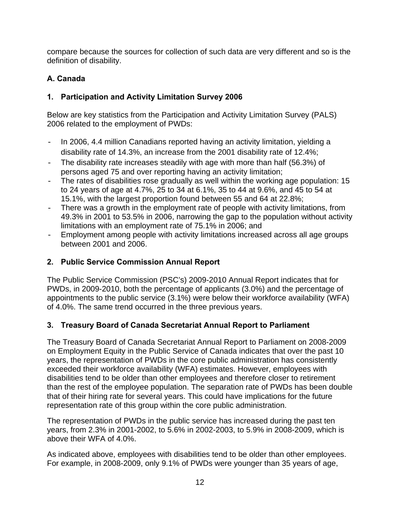compare because the sources for collection of such data are very different and so is the definition of disability.

# **A. Canada**

# **1. Participation and Activity Limitation Survey 2006**

Below are key statistics from the Participation and Activity Limitation Survey (PALS) 2006 related to the employment of PWDs:

- In 2006, 4.4 million Canadians reported having an activity limitation, yielding a disability rate of 14.3%, an increase from the 2001 disability rate of 12.4%;
- The disability rate increases steadily with age with more than half (56.3%) of persons aged 75 and over reporting having an activity limitation;
- The rates of disabilities rose gradually as well within the working age population: 15 to 24 years of age at 4.7%, 25 to 34 at 6.1%, 35 to 44 at 9.6%, and 45 to 54 at 15.1%, with the largest proportion found between 55 and 64 at 22.8%;
- There was a growth in the employment rate of people with activity limitations, from 49.3% in 2001 to 53.5% in 2006, narrowing the gap to the population without activity limitations with an employment rate of 75.1% in 2006; and
- Employment among people with activity limitations increased across all age groups between 2001 and 2006.

# **2. Public Service Commission Annual Report**

The Public Service Commission (PSC's) 2009-2010 Annual Report indicates that for PWDs, in 2009-2010, both the percentage of applicants (3.0%) and the percentage of appointments to the public service (3.1%) were below their workforce availability (WFA) of 4.0%. The same trend occurred in the three previous years.

# **3. Treasury Board of Canada Secretariat Annual Report to Parliament**

The Treasury Board of Canada Secretariat Annual Report to Parliament on 2008-2009 on Employment Equity in the Public Service of Canada indicates that over the past 10 years, the representation of PWDs in the core public administration has consistently exceeded their workforce availability (WFA) estimates. However, employees with disabilities tend to be older than other employees and therefore closer to retirement than the rest of the employee population. The separation rate of PWDs has been double that of their hiring rate for several years. This could have implications for the future representation rate of this group within the core public administration.

The representation of PWDs in the public service has increased during the past ten years, from 2.3% in 2001-2002, to 5.6% in 2002-2003, to 5.9% in 2008-2009, which is above their WFA of 4.0%.

As indicated above, employees with disabilities tend to be older than other employees. For example, in 2008-2009, only 9.1% of PWDs were younger than 35 years of age,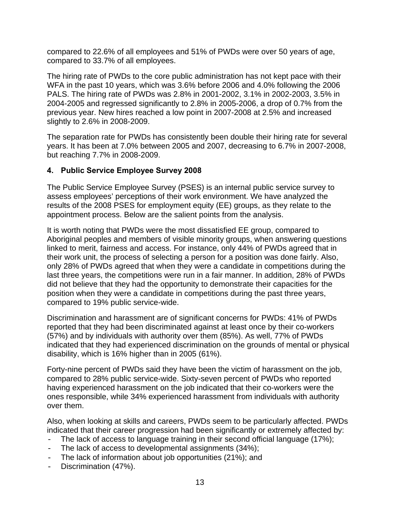compared to 22.6% of all employees and 51% of PWDs were over 50 years of age, compared to 33.7% of all employees.

The hiring rate of PWDs to the core public administration has not kept pace with their WFA in the past 10 years, which was 3.6% before 2006 and 4.0% following the 2006 PALS. The hiring rate of PWDs was 2.8% in 2001-2002, 3.1% in 2002-2003, 3.5% in 2004-2005 and regressed significantly to 2.8% in 2005-2006, a drop of 0.7% from the previous year. New hires reached a low point in 2007-2008 at 2.5% and increased slightly to 2.6% in 2008-2009.

The separation rate for PWDs has consistently been double their hiring rate for several years. It has been at 7.0% between 2005 and 2007, decreasing to 6.7% in 2007-2008, but reaching 7.7% in 2008-2009.

#### **4. Public Service Employee Survey 2008**

The Public Service Employee Survey (PSES) is an internal public service survey to assess employees' perceptions of their work environment. We have analyzed the results of the 2008 PSES for employment equity (EE) groups, as they relate to the appointment process. Below are the salient points from the analysis.

It is worth noting that PWDs were the most dissatisfied EE group, compared to Aboriginal peoples and members of visible minority groups, when answering questions linked to merit, fairness and access. For instance, only 44% of PWDs agreed that in their work unit, the process of selecting a person for a position was done fairly. Also, only 28% of PWDs agreed that when they were a candidate in competitions during the last three years, the competitions were run in a fair manner. In addition, 28% of PWDs did not believe that they had the opportunity to demonstrate their capacities for the position when they were a candidate in competitions during the past three years, compared to 19% public service-wide.

Discrimination and harassment are of significant concerns for PWDs: 41% of PWDs reported that they had been discriminated against at least once by their co-workers (57%) and by individuals with authority over them (85%). As well, 77% of PWDs indicated that they had experienced discrimination on the grounds of mental or physical disability, which is 16% higher than in 2005 (61%).

Forty-nine percent of PWDs said they have been the victim of harassment on the job, compared to 28% public service-wide. Sixty-seven percent of PWDs who reported having experienced harassment on the job indicated that their co-workers were the ones responsible, while 34% experienced harassment from individuals with authority over them.

Also, when looking at skills and careers, PWDs seem to be particularly affected. PWDs indicated that their career progression had been significantly or extremely affected by:

- The lack of access to language training in their second official language (17%);
- The lack of access to developmental assignments (34%);
- The lack of information about job opportunities (21%); and
- Discrimination (47%).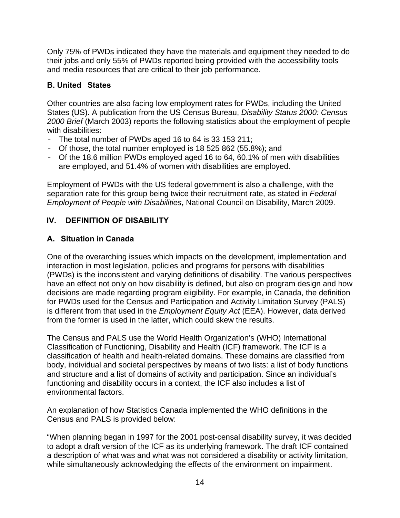Only 75% of PWDs indicated they have the materials and equipment they needed to do their jobs and only 55% of PWDs reported being provided with the accessibility tools and media resources that are critical to their job performance.

## **B. United States**

Other countries are also facing low employment rates for PWDs, including the United States (US). A publication from the US Census Bureau, *Disability Status 2000: Census 2000 Brief* (March 2003) reports the following statistics about the employment of people with disabilities:

- The total number of PWDs aged 16 to 64 is 33 153 211;
- Of those, the total number employed is 18 525 862 (55.8%); and
- Of the 18.6 million PWDs employed aged 16 to 64, 60.1% of men with disabilities are employed, and 51.4% of women with disabilities are employed.

Employment of PWDs with the US federal government is also a challenge, with the separation rate for this group being twice their recruitment rate, as stated in *Federal Employment of People with Disabilities***,** National Council on Disability, March 2009.

# **IV. DEFINITION OF DISABILITY**

## **A. Situation in Canada**

One of the overarching issues which impacts on the development, implementation and interaction in most legislation, policies and programs for persons with disabilities (PWDs) is the inconsistent and varying definitions of disability. The various perspectives have an effect not only on how disability is defined, but also on program design and how decisions are made regarding program eligibility. For example, in Canada, the definition for PWDs used for the Census and Participation and Activity Limitation Survey (PALS) is different from that used in the *Employment Equity Act* (EEA). However, data derived from the former is used in the latter, which could skew the results.

The Census and PALS use the World Health Organization's (WHO) International Classification of Functioning, Disability and Health (ICF) framework. The ICF is a classification of health and health-related domains. These domains are classified from body, individual and societal perspectives by means of two lists: a list of body functions and structure and a list of domains of activity and participation. Since an individual's functioning and disability occurs in a context, the ICF also includes a list of environmental factors.

An explanation of how Statistics Canada implemented the WHO definitions in the Census and PALS is provided below:

"When planning began in 1997 for the 2001 post-censal disability survey, it was decided to adopt a draft version of the ICF as its underlying framework. The draft ICF contained a description of what was and what was not considered a disability or activity limitation, while simultaneously acknowledging the effects of the environment on impairment.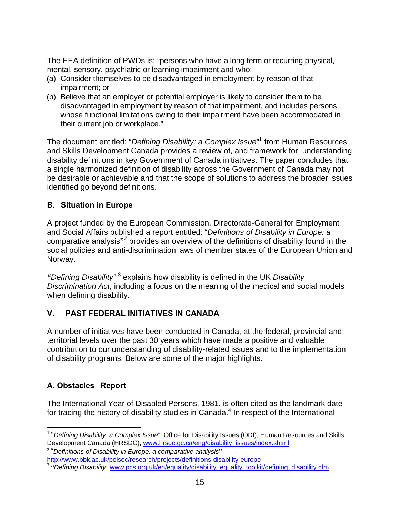The EEA definition of PWDs is: "persons who have a long term or recurring physical, mental, sensory, psychiatric or learning impairment and who:

- (a) Consider themselves to be disadvantaged in employment by reason of that impairment; or
- (b) Believe that an employer or potential employer is likely to consider them to be disadvantaged in employment by reason of that impairment, and includes persons whose functional limitations owing to their impairment have been accommodated in their current job or workplace."

The document entitled: "*Defining Disability: a Complex Issue*" 1 from Human Resources and Skills Development Canada provides a review of, and framework for, understanding disability definitions in key Government of Canada initiatives. The paper concludes that a single harmonized definition of disability across the Government of Canada may not be desirable or achievable and that the scope of solutions to address the broader issues identified go beyond definitions.

# **B. Situation in Europe**

A project funded by the European Commission, Directorate-General for Employment and Social Affairs published a report entitled: "*Definitions of Disability in Europe: a* comparative analysis**"***<sup>2</sup>* provides an overview of the definitions of disability found in the social policies and anti-discrimination laws of member states of the European Union and Norway.

*"Defining Disability"* <sup>3</sup> explains how disability is defined in the UK *Disability Discrimination Act*, including a focus on the meaning of the medical and social models when defining disability.

# **V. PAST FEDERAL INITIATIVES IN CANADA**

A number of initiatives have been conducted in Canada, at the federal, provincial and territorial levels over the past 30 years which have made a positive and valuable contribution to our understanding of disability-related issues and to the implementation of disability programs. Below are some of the major highlights.

# **A. Obstacles Report**

 $\overline{\phantom{a}}$ 

The International Year of Disabled Persons, 1981. is often cited as the landmark date for tracing the history of disability studies in Canada. $4$  In respect of the International

<sup>2</sup> "*Definitions of Disability in Europe: a comparative analysis***"** 

<sup>1</sup> "*Defining Disability: a Complex Issue*", Office for Disability Issues (ODI), Human Resources and Skills Development Canada (HRSDC), www.hrsdc.gc.ca/eng/disability\_issues/index.shtml

http://www.bbk.ac.uk/polsoc/research/projects/definitions-disability-europe <sup>3</sup> *"Defining Disability"* www.pcs.org.uk/en/equality/disability\_equality\_toolkit/defining\_disability.cfm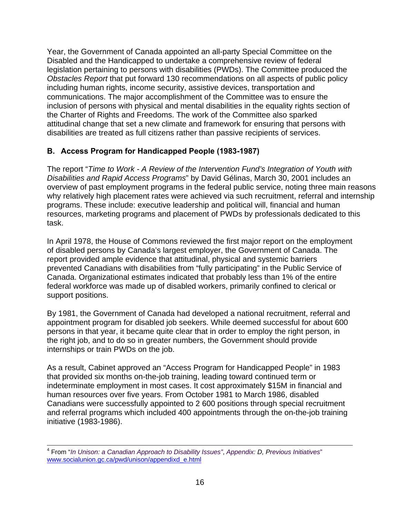Year, the Government of Canada appointed an all-party Special Committee on the Disabled and the Handicapped to undertake a comprehensive review of federal legislation pertaining to persons with disabilities (PWDs). The Committee produced the *Obstacles Report* that put forward 130 recommendations on all aspects of public policy including human rights, income security, assistive devices, transportation and communications. The major accomplishment of the Committee was to ensure the inclusion of persons with physical and mental disabilities in the equality rights section of the Charter of Rights and Freedoms. The work of the Committee also sparked attitudinal change that set a new climate and framework for ensuring that persons with disabilities are treated as full citizens rather than passive recipients of services.

# **B. Access Program for Handicapped People (1983-1987)**

The report "*Time to Work - A Review of the Intervention Fund's Integration of Youth with Disabilities and Rapid Access Programs*" by David Gélinas, March 30, 2001 includes an overview of past employment programs in the federal public service, noting three main reasons why relatively high placement rates were achieved via such recruitment, referral and internship programs. These include: executive leadership and political will, financial and human resources, marketing programs and placement of PWDs by professionals dedicated to this task.

In April 1978, the House of Commons reviewed the first major report on the employment of disabled persons by Canada's largest employer, the Government of Canada. The report provided ample evidence that attitudinal, physical and systemic barriers prevented Canadians with disabilities from "fully participating" in the Public Service of Canada. Organizational estimates indicated that probably less than 1% of the entire federal workforce was made up of disabled workers, primarily confined to clerical or support positions.

By 1981, the Government of Canada had developed a national recruitment, referral and appointment program for disabled job seekers. While deemed successful for about 600 persons in that year, it became quite clear that in order to employ the right person, in the right job, and to do so in greater numbers, the Government should provide internships or train PWDs on the job.

As a result, Cabinet approved an "Access Program for Handicapped People" in 1983 that provided six months on-the-job training, leading toward continued term or indeterminate employment in most cases. It cost approximately \$15M in financial and human resources over five years. From October 1981 to March 1986, disabled Canadians were successfully appointed to 2 600 positions through special recruitment and referral programs which included 400 appointments through the on-the-job training initiative (1983-1986).

l 4 From "*In Unison: a Canadian Approach to Disability Issues"*, *Appendix: D, Previous Initiatives*" www.socialunion.gc.ca/pwd/unison/appendixd\_e.html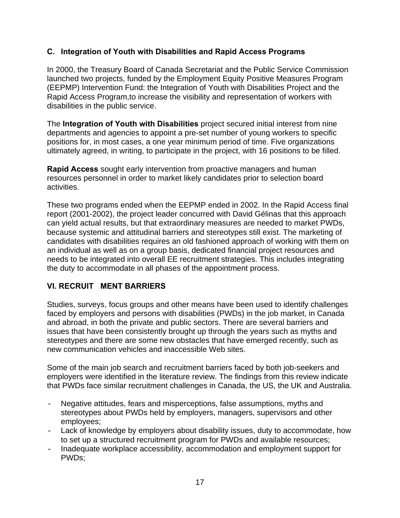## **C. Integration of Youth with Disabilities and Rapid Access Programs**

In 2000, the Treasury Board of Canada Secretariat and the Public Service Commission launched two projects, funded by the Employment Equity Positive Measures Program (EEPMP) Intervention Fund: the Integration of Youth with Disabilities Project and the Rapid Access Program,to increase the visibility and representation of workers with disabilities in the public service.

The **Integration of Youth with Disabilities** project secured initial interest from nine departments and agencies to appoint a pre-set number of young workers to specific positions for, in most cases, a one year minimum period of time. Five organizations ultimately agreed, in writing, to participate in the project, with 16 positions to be filled.

**Rapid Access** sought early intervention from proactive managers and human resources personnel in order to market likely candidates prior to selection board activities.

These two programs ended when the EEPMP ended in 2002. In the Rapid Access final report (2001-2002), the project leader concurred with David Gélinas that this approach can yield actual results, but that extraordinary measures are needed to market PWDs, because systemic and attitudinal barriers and stereotypes still exist. The marketing of candidates with disabilities requires an old fashioned approach of working with them on an individual as well as on a group basis, dedicated financial project resources and needs to be integrated into overall EE recruitment strategies. This includes integrating the duty to accommodate in all phases of the appointment process.

## **VI. RECRUIT MENT BARRIERS**

Studies, surveys, focus groups and other means have been used to identify challenges faced by employers and persons with disabilities (PWDs) in the job market, in Canada and abroad, in both the private and public sectors. There are several barriers and issues that have been consistently brought up through the years such as myths and stereotypes and there are some new obstacles that have emerged recently, such as new communication vehicles and inaccessible Web sites.

Some of the main job search and recruitment barriers faced by both job-seekers and employers were identified in the literature review. The findings from this review indicate that PWDs face similar recruitment challenges in Canada, the US, the UK and Australia.

- Negative attitudes, fears and misperceptions, false assumptions, myths and stereotypes about PWDs held by employers, managers, supervisors and other employees;
- Lack of knowledge by employers about disability issues, duty to accommodate, how to set up a structured recruitment program for PWDs and available resources;
- Inadequate workplace accessibility, accommodation and employment support for PWDs;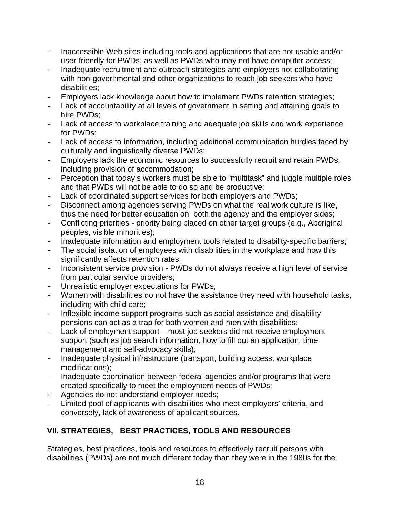- Inaccessible Web sites including tools and applications that are not usable and/or user-friendly for PWDs, as well as PWDs who may not have computer access;
- Inadequate recruitment and outreach strategies and employers not collaborating with non-governmental and other organizations to reach job seekers who have disabilities;
- Employers lack knowledge about how to implement PWDs retention strategies;
- Lack of accountability at all levels of government in setting and attaining goals to hire PWDs;
- Lack of access to workplace training and adequate job skills and work experience for PWDs;
- Lack of access to information, including additional communication hurdles faced by culturally and linguistically diverse PWDs;
- Employers lack the economic resources to successfully recruit and retain PWDs, including provision of accommodation;
- Perception that today's workers must be able to "multitask" and juggle multiple roles and that PWDs will not be able to do so and be productive;
- Lack of coordinated support services for both employers and PWDs;
- Disconnect among agencies serving PWDs on what the real work culture is like, thus the need for better education on both the agency and the employer sides;
- Conflicting priorities priority being placed on other target groups (e.g., Aboriginal peoples, visible minorities);
- Inadequate information and employment tools related to disability-specific barriers;
- The social isolation of employees with disabilities in the workplace and how this significantly affects retention rates;
- Inconsistent service provision PWDs do not always receive a high level of service from particular service providers;
- Unrealistic employer expectations for PWDs;
- Women with disabilities do not have the assistance they need with household tasks, including with child care;
- Inflexible income support programs such as social assistance and disability pensions can act as a trap for both women and men with disabilities;
- Lack of employment support most job seekers did not receive employment support (such as job search information, how to fill out an application, time management and self-advocacy skills);
- Inadequate physical infrastructure (transport, building access, workplace modifications);
- Inadequate coordination between federal agencies and/or programs that were created specifically to meet the employment needs of PWDs;
- Agencies do not understand employer needs;
- Limited pool of applicants with disabilities who meet employers' criteria, and conversely, lack of awareness of applicant sources.

# **VII. STRATEGIES, BEST PRACTICES, TOOLS AND RESOURCES**

Strategies, best practices, tools and resources to effectively recruit persons with disabilities (PWDs) are not much different today than they were in the 1980s for the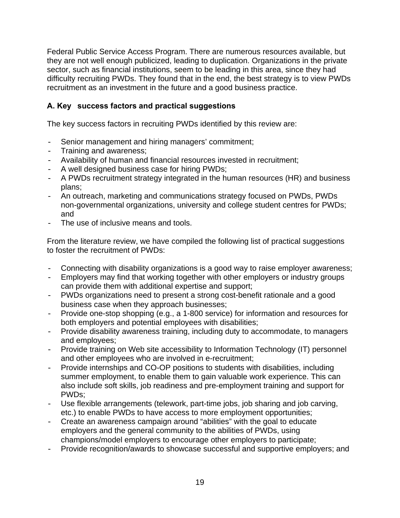Federal Public Service Access Program. There are numerous resources available, but they are not well enough publicized, leading to duplication. Organizations in the private sector, such as financial institutions, seem to be leading in this area, since they had difficulty recruiting PWDs. They found that in the end, the best strategy is to view PWDs recruitment as an investment in the future and a good business practice.

# **A. Key success factors and practical suggestions**

The key success factors in recruiting PWDs identified by this review are:

- Senior management and hiring managers' commitment;
- Training and awareness;
- Availability of human and financial resources invested in recruitment;
- A well designed business case for hiring PWDs;
- A PWDs recruitment strategy integrated in the human resources (HR) and business plans;
- An outreach, marketing and communications strategy focused on PWDs, PWDs non-governmental organizations, university and college student centres for PWDs; and
- The use of inclusive means and tools.

From the literature review, we have compiled the following list of practical suggestions to foster the recruitment of PWDs:

- Connecting with disability organizations is a good way to raise employer awareness;
- Employers may find that working together with other employers or industry groups can provide them with additional expertise and support;
- PWDs organizations need to present a strong cost-benefit rationale and a good business case when they approach businesses;
- Provide one-stop shopping (e.g., a 1-800 service) for information and resources for both employers and potential employees with disabilities;
- Provide disability awareness training, including duty to accommodate, to managers and employees;
- Provide training on Web site accessibility to Information Technology (IT) personnel and other employees who are involved in e-recruitment;
- Provide internships and CO-OP positions to students with disabilities, including summer employment, to enable them to gain valuable work experience. This can also include soft skills, job readiness and pre-employment training and support for PWDs;
- Use flexible arrangements (telework, part-time jobs, job sharing and job carving, etc.) to enable PWDs to have access to more employment opportunities;
- Create an awareness campaign around "abilities" with the goal to educate employers and the general community to the abilities of PWDs, using champions/model employers to encourage other employers to participate;
- Provide recognition/awards to showcase successful and supportive employers; and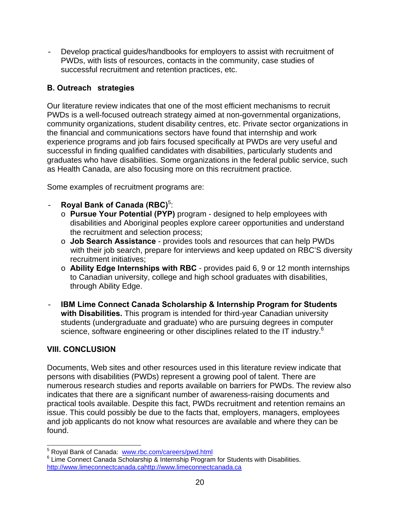Develop practical quides/handbooks for employers to assist with recruitment of PWDs, with lists of resources, contacts in the community, case studies of successful recruitment and retention practices, etc.

# **B. Outreach strategies**

Our literature review indicates that one of the most efficient mechanisms to recruit PWDs is a well-focused outreach strategy aimed at non-governmental organizations, community organizations, student disability centres, etc. Private sector organizations in the financial and communications sectors have found that internship and work experience programs and job fairs focused specifically at PWDs are very useful and successful in finding qualified candidates with disabilities, particularly students and graduates who have disabilities. Some organizations in the federal public service, such as Health Canada, are also focusing more on this recruitment practice.

Some examples of recruitment programs are:

- **Royal Bank of Canada (RBC)**<sup>5</sup>:
	- o **Pursue Your Potential (PYP)** program designed to help employees with disabilities and Aboriginal peoples explore career opportunities and understand the recruitment and selection process;
	- o **Job Search Assistance** provides tools and resources that can help PWDs with their job search, prepare for interviews and keep updated on RBC'S diversity recruitment initiatives;
	- o **Ability Edge Internships with RBC** provides paid 6, 9 or 12 month internships to Canadian university, college and high school graduates with disabilities, through Ability Edge.
- **IBM Lime Connect Canada Scholarship & Internship Program for Students with Disabilities.** This program is intended for third-year Canadian university students (undergraduate and graduate) who are pursuing degrees in computer science, software engineering or other disciplines related to the IT industry.<sup>6</sup>

## **VIII. CONCLUSION**

Documents, Web sites and other resources used in this literature review indicate that persons with disabilities (PWDs) represent a growing pool of talent. There are numerous research studies and reports available on barriers for PWDs. The review also indicates that there are a significant number of awareness-raising documents and practical tools available. Despite this fact, PWDs recruitment and retention remains an issue. This could possibly be due to the facts that, employers, managers, employees and job applicants do not know what resources are available and where they can be found.

<sup>&</sup>lt;u>s</u><br><sup>5</sup> Royal Bank of Canada: www.rbc.com/careers/pwd.html<br><sup>6</sup> Lime Connect Canada Scholarship & Internabin Program

<sup>&</sup>lt;sup>6</sup> Lime Connect Canada Scholarship & Internship Program for Students with Disabilities. http://www.limeconnectcanada.cahttp://www.limeconnectcanada.ca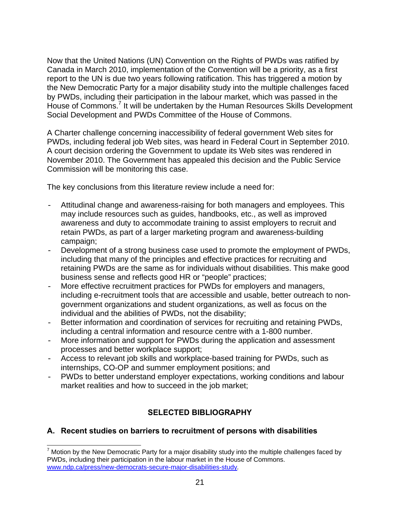Now that the United Nations (UN) Convention on the Rights of PWDs was ratified by Canada in March 2010, implementation of the Convention will be a priority, as a first report to the UN is due two years following ratification. This has triggered a motion by the New Democratic Party for a major disability study into the multiple challenges faced by PWDs, including their participation in the labour market, which was passed in the House of Commons.<sup>7</sup> It will be undertaken by the Human Resources Skills Development Social Development and PWDs Committee of the House of Commons.

A Charter challenge concerning inaccessibility of federal government Web sites for PWDs, including federal job Web sites, was heard in Federal Court in September 2010. A court decision ordering the Government to update its Web sites was rendered in November 2010. The Government has appealed this decision and the Public Service Commission will be monitoring this case.

The key conclusions from this literature review include a need for:

- Attitudinal change and awareness-raising for both managers and employees. This may include resources such as guides, handbooks, etc., as well as improved awareness and duty to accommodate training to assist employers to recruit and retain PWDs, as part of a larger marketing program and awareness-building campaign;
- Development of a strong business case used to promote the employment of PWDs, including that many of the principles and effective practices for recruiting and retaining PWDs are the same as for individuals without disabilities. This make good business sense and reflects good HR or "people" practices;
- More effective recruitment practices for PWDs for employers and managers, including e-recruitment tools that are accessible and usable, better outreach to nongovernment organizations and student organizations, as well as focus on the individual and the abilities of PWDs, not the disability;
- Better information and coordination of services for recruiting and retaining PWDs, including a central information and resource centre with a 1-800 number.
- More information and support for PWDs during the application and assessment processes and better workplace support;
- Access to relevant job skills and workplace-based training for PWDs, such as internships, CO-OP and summer employment positions; and
- PWDs to better understand employer expectations, working conditions and labour market realities and how to succeed in the job market;

# **SELECTED BIBLIOGRAPHY**

# **A. Recent studies on barriers to recruitment of persons with disabilities**

TO Motion by the New Democratic Party for a major disability study into the multiple challenges faced by TO Motion by the New Democratic Party for a major disability study into the multiple challenges faced by PWDs, including their participation in the labour market in the House of Commons. www.ndp.ca/press/new-democrats-secure-major-disabilities-study*.*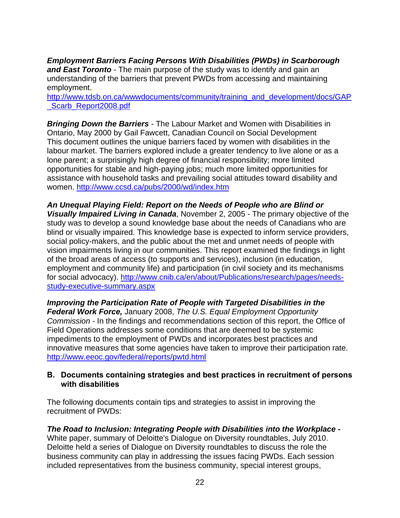*Employment Barriers Facing Persons With Disabilities (PWDs) in Scarborough and East Toronto* - The main purpose of the study was to identify and gain an understanding of the barriers that prevent PWDs from accessing and maintaining employment.

http://www.tdsb.on.ca/wwwdocuments/community/training\_and\_development/docs/GAP Scarb Report2008.pdf

*Bringing Down the Barriers -* The Labour Market and Women with Disabilities in Ontario, May 2000 by Gail Fawcett, Canadian Council on Social Development This document outlines the unique barriers faced by women with disabilities in the labour market. The barriers explored include a greater tendency to live alone or as a lone parent; a surprisingly high degree of financial responsibility; more limited opportunities for stable and high-paying jobs; much more limited opportunities for assistance with household tasks and prevailing social attitudes toward disability and women. http://www.ccsd.ca/pubs/2000/wd/index.htm

*An Unequal Playing Field: Report on the Needs of People who are Blind or Visually Impaired Living in Canada*, November 2, 2005 - The primary objective of the study was to develop a sound knowledge base about the needs of Canadians who are blind or visually impaired. This knowledge base is expected to inform service providers, social policy-makers, and the public about the met and unmet needs of people with vision impairments living in our communities. This report examined the findings in light of the broad areas of access (to supports and services), inclusion (in education, employment and community life) and participation (in civil society and its mechanisms for social advocacy). http://www.cnib.ca/en/about/Publications/research/pages/needsstudy-executive-summary.aspx

*Improving the Participation Rate of People with Targeted Disabilities in the Federal Work Force,* January 2008, *The U.S. Equal Employment Opportunity Commission -* In the findings and recommendations section of this report, the Office of Field Operations addresses some conditions that are deemed to be systemic impediments to the employment of PWDs and incorporates best practices and innovative measures that some agencies have taken to improve their participation rate. http://www.eeoc.gov/federal/reports/pwtd.html

#### **B. Documents containing strategies and best practices in recruitment of persons with disabilities**

The following documents contain tips and strategies to assist in improving the recruitment of PWDs:

*The Road to Inclusion: Integrating People with Disabilities into the Workplace -*  White paper, summary of Deloitte's Dialogue on Diversity roundtables, July 2010.

Deloitte held a series of Dialogue on Diversity roundtables to discuss the role the business community can play in addressing the issues facing PWDs. Each session included representatives from the business community, special interest groups,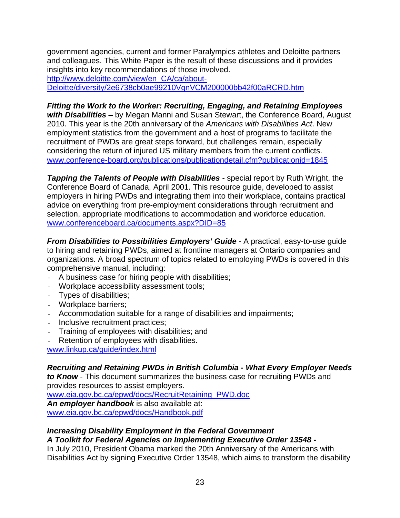government agencies, current and former Paralympics athletes and Deloitte partners and colleagues. This White Paper is the result of these discussions and it provides insights into key recommendations of those involved.

http://www.deloitte.com/view/en\_CA/ca/about-Deloitte/diversity/2e6738cb0ae99210VgnVCM200000bb42f00aRCRD.htm

*Fitting the Work to the Worker: Recruiting, Engaging, and Retaining Employees* 

*with Disabilities* **–** by Megan Manni and Susan Stewart, the Conference Board, August 2010. This year is the 20th anniversary of the *Americans with Disabilities Act*. New employment statistics from the government and a host of programs to facilitate the recruitment of PWDs are great steps forward, but challenges remain, especially considering the return of injured US military members from the current conflicts. www.conference-board.org/publications/publicationdetail.cfm?publicationid=1845

*Tapping the Talents of People with Disabilities - special report by Ruth Wright, the* Conference Board of Canada, April 2001. This resource guide, developed to assist employers in hiring PWDs and integrating them into their workplace, contains practical advice on everything from pre-employment considerations through recruitment and selection, appropriate modifications to accommodation and workforce education. www.conferenceboard.ca/documents.aspx?DID=85

*From Disabilities to Possibilities Employers' Guide - A practical, easy-to-use quide* to hiring and retaining PWDs, aimed at frontline managers at Ontario companies and organizations. A broad spectrum of topics related to employing PWDs is covered in this comprehensive manual, including:

- A business case for hiring people with disabilities;
- Workplace accessibility assessment tools;
- Types of disabilities;
- Workplace barriers;
- Accommodation suitable for a range of disabilities and impairments;
- Inclusive recruitment practices;
- Training of employees with disabilities; and
- Retention of employees with disabilities.

www.linkup.ca/guide/index.html

## *Recruiting and Retaining PWDs in British Columbia - What Every Employer Needs*

*to Know* - This document summarizes the business case for recruiting PWDs and provides resources to assist employers. www.eia.gov.bc.ca/epwd/docs/RecruitRetaining\_PWD.doc *An employer handbook* is also available at: www.eia.gov.bc.ca/epwd/docs/Handbook.pdf

## *Increasing Disability Employment in the Federal Government*

*A Toolkit for Federal Agencies on Implementing Executive Order 13548 -* In July 2010, President Obama marked the 20th Anniversary of the Americans with Disabilities Act by signing Executive Order 13548, which aims to transform the disability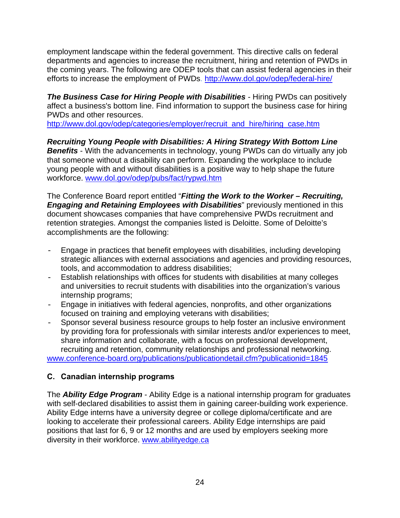employment landscape within the federal government. This directive calls on federal departments and agencies to increase the recruitment, hiring and retention of PWDs in the coming years. The following are ODEP tools that can assist federal agencies in their efforts to increase the employment of PWDs. http://www.dol.gov/odep/federal-hire/

**The Business Case for Hiring People with Disabilities - Hiring PWDs can positively** affect a business's bottom line. Find information to support the business case for hiring PWDs and other resources.

http://www.dol.gov/odep/categories/employer/recruit\_and\_hire/hiring\_case.htm

*Recruiting Young People with Disabilities: A Hiring Strategy With Bottom Line Benefits* - With the advancements in technology, young PWDs can do virtually any job that someone without a disability can perform. Expanding the workplace to include young people with and without disabilities is a positive way to help shape the future workforce. www.dol.gov/odep/pubs/fact/rypwd.htm

The Conference Board report entitled "*Fitting the Work to the Worker – Recruiting, Engaging and Retaining Employees with Disabilities*" previously mentioned in this document showcases companies that have comprehensive PWDs recruitment and retention strategies. Amongst the companies listed is Deloitte. Some of Deloitte's accomplishments are the following:

- Engage in practices that benefit employees with disabilities, including developing strategic alliances with external associations and agencies and providing resources, tools, and accommodation to address disabilities;
- Establish relationships with offices for students with disabilities at many colleges and universities to recruit students with disabilities into the organization's various internship programs;
- Engage in initiatives with federal agencies, nonprofits, and other organizations focused on training and employing veterans with disabilities;
- Sponsor several business resource groups to help foster an inclusive environment by providing fora for professionals with similar interests and/or experiences to meet, share information and collaborate, with a focus on professional development, recruiting and retention, community relationships and professional networking.

www.conference-board.org/publications/publicationdetail.cfm?publicationid=1845

# **C. Canadian internship programs**

The *Ability Edge Program* - Ability Edge is a national internship program for graduates with self-declared disabilities to assist them in gaining career-building work experience. Ability Edge interns have a university degree or college diploma/certificate and are looking to accelerate their professional careers. Ability Edge internships are paid positions that last for 6, 9 or 12 months and are used by employers seeking more diversity in their workforce. www.abilityedge.ca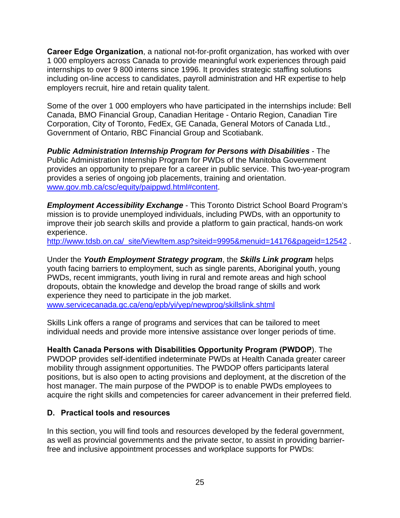**Career Edge Organization**, a national not-for-profit organization, has worked with over 1 000 employers across Canada to provide meaningful work experiences through paid internships to over 9 800 interns since 1996. It provides strategic staffing solutions including on-line access to candidates, payroll administration and HR expertise to help employers recruit, hire and retain quality talent.

Some of the over 1 000 employers who have participated in the internships include: Bell Canada, BMO Financial Group, Canadian Heritage - Ontario Region, Canadian Tire Corporation, City of Toronto, FedEx, GE Canada, General Motors of Canada Ltd., Government of Ontario, RBC Financial Group and Scotiabank.

*Public Administration Internship Program for Persons with Disabilities* - The Public Administration Internship Program for PWDs of the Manitoba Government provides an opportunity to prepare for a career in public service. This two-year-program provides a series of ongoing job placements, training and orientation. www.gov.mb.ca/csc/equity/paippwd.html#content.

*Employment Accessibility Exchange* - This Toronto District School Board Program's mission is to provide unemployed individuals, including PWDs, with an opportunity to improve their job search skills and provide a platform to gain practical, hands-on work experience.

http://www.tdsb.on.ca/\_site/ViewItem.asp?siteid=9995&menuid=14176&pageid=12542.

Under the *Youth Employment Strategy program*, the *Skills Link program* helps youth facing barriers to employment, such as single parents, Aboriginal youth, young PWDs, recent immigrants, youth living in rural and remote areas and high school dropouts, obtain the knowledge and develop the broad range of skills and work experience they need to participate in the job market. www.servicecanada.gc.ca/eng/epb/yi/yep/newprog/skillslink.shtml

Skills Link offers a range of programs and services that can be tailored to meet individual needs and provide more intensive assistance over longer periods of time.

**Health Canada Persons with Disabilities Opportunity Program (PWDOP**). The PWDOP provides self-identified indeterminate PWDs at Health Canada greater career mobility through assignment opportunities. The PWDOP offers participants lateral positions, but is also open to acting provisions and deployment, at the discretion of the host manager. The main purpose of the PWDOP is to enable PWDs employees to acquire the right skills and competencies for career advancement in their preferred field.

## **D. Practical tools and resources**

In this section, you will find tools and resources developed by the federal government, as well as provincial governments and the private sector, to assist in providing barrierfree and inclusive appointment processes and workplace supports for PWDs: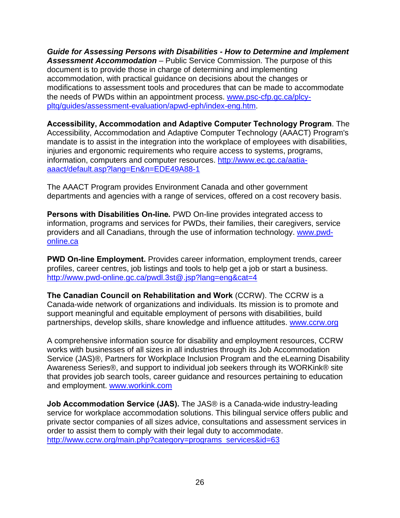*Guide for Assessing Persons with Disabilities - How to Determine and Implement Assessment Accommodation* – Public Service Commission. The purpose of this document is to provide those in charge of determining and implementing accommodation, with practical guidance on decisions about the changes or modifications to assessment tools and procedures that can be made to accommodate the needs of PWDs within an appointment process. www.psc-cfp.gc.ca/plcypltq/guides/assessment-evaluation/apwd-eph/index-eng.htm.

**Accessibility, Accommodation and Adaptive Computer Technology Program**. The Accessibility, Accommodation and Adaptive Computer Technology (AAACT) Program's mandate is to assist in the integration into the workplace of employees with disabilities, injuries and ergonomic requirements who require access to systems, programs, information, computers and computer resources. http://www.ec.gc.ca/aatiaaaact/default.asp?lang=En&n=EDE49A88-1

The AAACT Program provides Environment Canada and other government departments and agencies with a range of services, offered on a cost recovery basis.

**Persons with Disabilities On-line***.* PWD On-line provides integrated access to information, programs and services for PWDs, their families, their caregivers, service providers and all Canadians, through the use of information technology. www.pwdonline.ca

**PWD On-line Employment.** Provides career information, employment trends, career profiles, career centres, job listings and tools to help get a job or start a business. http://www.pwd-online.gc.ca/pwdl.3st@.jsp?lang=eng&cat=4

**The Canadian Council on Rehabilitation and Work** (CCRW). The CCRW is a Canada-wide network of organizations and individuals. Its mission is to promote and support meaningful and equitable employment of persons with disabilities, build partnerships, develop skills, share knowledge and influence attitudes. www.ccrw.org

A comprehensive information source for disability and employment resources, CCRW works with businesses of all sizes in all industries through its Job Accommodation Service (JAS)®, Partners for Workplace Inclusion Program and the eLearning Disability Awareness Series®, and support to individual job seekers through its WORKink® site that provides job search tools, career guidance and resources pertaining to education and employment. www.workink.com

**Job Accommodation Service (JAS).** The JAS® is a Canada-wide industry-leading service for workplace accommodation solutions. This bilingual service offers public and private sector companies of all sizes advice, consultations and assessment services in order to assist them to comply with their legal duty to accommodate. http://www.ccrw.org/main.php?category=programs\_services&id=63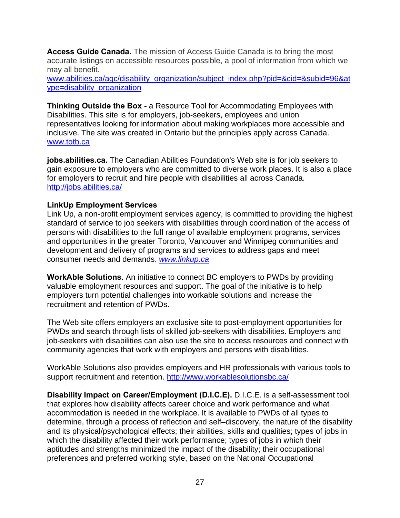**Access Guide Canada.** The mission of Access Guide Canada is to bring the most accurate listings on accessible resources possible, a pool of information from which we may all benefit.

www.abilities.ca/agc/disability\_organization/subject\_index.php?pid=&cid=&subid=96&at ype=disability\_organization

**Thinking Outside the Box -** a Resource Tool for Accommodating Employees with Disabilities. This site is for employers, job-seekers, employees and union representatives looking for information about making workplaces more accessible and inclusive. The site was created in Ontario but the principles apply across Canada. www.totb.ca

**jobs.abilities.ca.** The Canadian Abilities Foundation's Web site is for job seekers to gain exposure to employers who are committed to diverse work places. It is also a place for employers to recruit and hire people with disabilities all across Canada. http://jobs.abilities.ca/

#### **LinkUp Employment Services**

Link Up, a non-profit employment services agency, is committed to providing the highest standard of service to job seekers with disabilities through coordination of the access of persons with disabilities to the full range of available employment programs, services and opportunities in the greater Toronto, Vancouver and Winnipeg communities and development and delivery of programs and services to address gaps and meet consumer needs and demands. *www.linkup.ca*

**WorkAble Solutions.** An initiative to connect BC employers to PWDs by providing valuable employment resources and support. The goal of the initiative is to help employers turn potential challenges into workable solutions and increase the recruitment and retention of PWDs.

The Web site offers employers an exclusive site to post-employment opportunities for PWDs and search through lists of skilled job-seekers with disabilities. Employers and job-seekers with disabilities can also use the site to access resources and connect with community agencies that work with employers and persons with disabilities.

WorkAble Solutions also provides employers and HR professionals with various tools to support recruitment and retention. http://www.workablesolutionsbc.ca/

**Disability Impact on Career/Employment (D.I.C.E).** D.I.C.E. is a self-assessment tool that explores how disability affects career choice and work performance and what accommodation is needed in the workplace. It is available to PWDs of all types to determine, through a process of reflection and self–discovery, the nature of the disability and its physical/psychological effects; their abilities, skills and qualities; types of jobs in which the disability affected their work performance; types of jobs in which their aptitudes and strengths minimized the impact of the disability; their occupational preferences and preferred working style, based on the National Occupational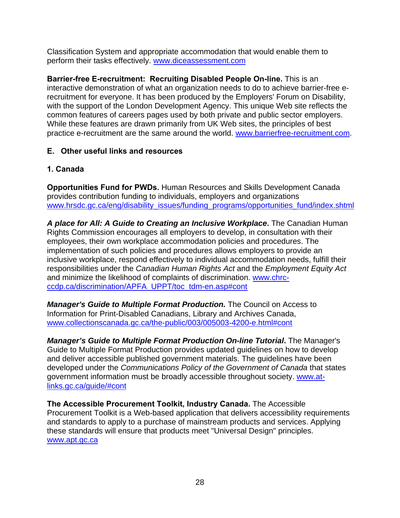Classification System and appropriate accommodation that would enable them to perform their tasks effectively. www.diceassessment.com

**Barrier-free E-recruitment: Recruiting Disabled People On-line.** This is an interactive demonstration of what an organization needs to do to achieve barrier-free erecruitment for everyone. It has been produced by the Employers' Forum on Disability, with the support of the London Development Agency. This unique Web site reflects the common features of careers pages used by both private and public sector employers. While these features are drawn primarily from UK Web sites, the principles of best practice e-recruitment are the same around the world. www.barrierfree-recruitment.com.

# **E. Other useful links and resources**

# **1. Canada**

**Opportunities Fund for PWDs.** Human Resources and Skills Development Canada provides contribution funding to individuals, employers and organizations www.hrsdc.gc.ca/eng/disability\_issues/funding\_programs/opportunities\_fund/index.shtml

*A place for All: A Guide to Creating an Inclusive Workplace***.** The Canadian Human Rights Commission encourages all employers to develop, in consultation with their employees, their own workplace accommodation policies and procedures. The implementation of such policies and procedures allows employers to provide an inclusive workplace, respond effectively to individual accommodation needs, fulfill their responsibilities under the *Canadian Human Rights Act* and the *Employment Equity Act*  and minimize the likelihood of complaints of discrimination. www.chrcccdp.ca/discrimination/APFA\_UPPT/toc\_tdm-en.asp#cont

*Manager's Guide to Multiple Format Production.* The Council on Access to Information for Print-Disabled Canadians, Library and Archives Canada, www.collectionscanada.gc.ca/the-public/003/005003-4200-e.html#cont

*Manager's Guide to Multiple Format Production On-line Tutorial***.** The Manager's Guide to Multiple Format Production provides updated guidelines on how to develop and deliver accessible published government materials. The guidelines have been developed under the *Communications Policy of the Government of Canada* that states government information must be broadly accessible throughout society. www.atlinks.gc.ca/guide/#cont

**The Accessible Procurement Toolkit, Industry Canada.** The Accessible Procurement Toolkit is a Web-based application that delivers accessibility requirements and standards to apply to a purchase of mainstream products and services. Applying these standards will ensure that products meet "Universal Design" principles. www.apt.gc.ca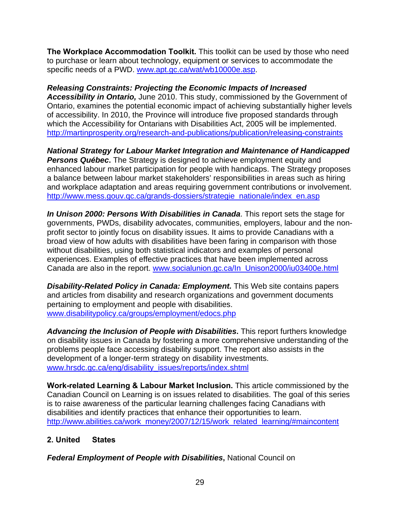**The Workplace Accommodation Toolkit.** This toolkit can be used by those who need to purchase or learn about technology, equipment or services to accommodate the specific needs of a PWD. www.apt.gc.ca/wat/wb10000e.asp.

## *Releasing Constraints: Projecting the Economic Impacts of Increased*

*Accessibility in Ontario,* June 2010. This study, commissioned by the Government of Ontario, examines the potential economic impact of achieving substantially higher levels of accessibility. In 2010, the Province will introduce five proposed standards through which the Accessibility for Ontarians with Disabilities Act, 2005 will be implemented. http://martinprosperity.org/research-and-publications/publication/releasing-constraints

*National Strategy for Labour Market Integration and Maintenance of Handicapped*  **Persons Québec.** The Strategy is designed to achieve employment equity and enhanced labour market participation for people with handicaps. The Strategy proposes a balance between labour market stakeholders' responsibilities in areas such as hiring and workplace adaptation and areas requiring government contributions or involvement. http://www.mess.gouv.gc.ca/grands-dossiers/strategie\_nationale/index\_en.asp

*In Unison 2000: Persons With Disabilities in Canada*. This report sets the stage for governments, PWDs, disability advocates, communities, employers, labour and the nonprofit sector to jointly focus on disability issues. It aims to provide Canadians with a broad view of how adults with disabilities have been faring in comparison with those without disabilities, using both statistical indicators and examples of personal experiences. Examples of effective practices that have been implemented across Canada are also in the report. www.socialunion.gc.ca/In\_Unison2000/iu03400e.html

**Disability-Related Policy in Canada: Employment.** This Web site contains papers and articles from disability and research organizations and government documents pertaining to employment and people with disabilities. www.disabilitypolicy.ca/groups/employment/edocs.php

*Advancing the Inclusion of People with Disabilities***.** This report furthers knowledge on disability issues in Canada by fostering a more comprehensive understanding of the problems people face accessing disability support. The report also assists in the development of a longer-term strategy on disability investments. www.hrsdc.gc.ca/eng/disability\_issues/reports/index.shtml

**Work-related Learning & Labour Market Inclusion.** This article commissioned by the Canadian Council on Learning is on issues related to disabilities. The goal of this series is to raise awareness of the particular learning challenges facing Canadians with disabilities and identify practices that enhance their opportunities to learn. http://www.abilities.ca/work\_money/2007/12/15/work\_related\_learning/#maincontent

## **2. United States**

*Federal Employment of People with Disabilities*, National Council on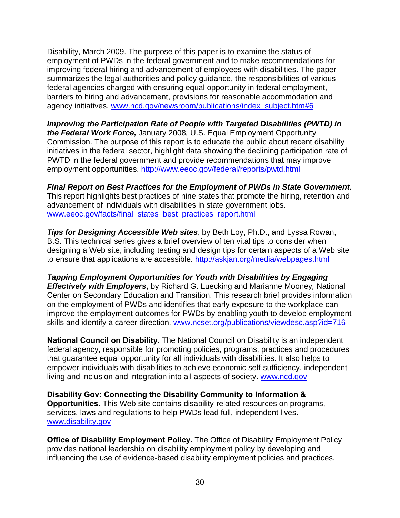Disability, March 2009. The purpose of this paper is to examine the status of employment of PWDs in the federal government and to make recommendations for improving federal hiring and advancement of employees with disabilities. The paper summarizes the legal authorities and policy guidance, the responsibilities of various federal agencies charged with ensuring equal opportunity in federal employment, barriers to hiring and advancement, provisions for reasonable accommodation and agency initiatives. www.ncd.gov/newsroom/publications/index\_subject.htm#6

*Improving the Participation Rate of People with Targeted Disabilities (PWTD) in the Federal Work Force,* January 2008*,* U.S. Equal Employment Opportunity Commission. The purpose of this report is to educate the public about recent disability initiatives in the federal sector, highlight data showing the declining participation rate of PWTD in the federal government and provide recommendations that may improve employment opportunities. http://www.eeoc.gov/federal/reports/pwtd.html

*Final Report on Best Practices for the Employment of PWDs in State Government***.**  This report highlights best practices of nine states that promote the hiring, retention and advancement of individuals with disabilities in state government jobs. www.eeoc.gov/facts/final\_states\_best\_practices\_report.html

*Tips for Designing Accessible Web sites*, by Beth Loy, Ph.D., and Lyssa Rowan, B.S. This technical series gives a brief overview of ten vital tips to consider when designing a Web site, including testing and design tips for certain aspects of a Web site to ensure that applications are accessible. http://askjan.org/media/webpages.html

*Tapping Employment Opportunities for Youth with Disabilities by Engaging Effectively with Employers***,** by Richard G. Luecking and Marianne Mooney*,* National Center on Secondary Education and Transition. This research brief provides information on the employment of PWDs and identifies that early exposure to the workplace can improve the employment outcomes for PWDs by enabling youth to develop employment skills and identify a career direction. www.ncset.org/publications/viewdesc.asp?id=716

**National Council on Disability.** The National Council on Disability is an independent federal agency, responsible for promoting policies, programs, practices and procedures that guarantee equal opportunity for all individuals with disabilities. It also helps to empower individuals with disabilities to achieve economic self-sufficiency, independent living and inclusion and integration into all aspects of society. www.ncd.gov

**Disability Gov: Connecting the Disability Community to Information & Opportunities**. This Web site contains disability-related resources on programs, services, laws and regulations to help PWDs lead full, independent lives. www.disability.gov

**Office of Disability Employment Policy.** The Office of Disability Employment Policy provides national leadership on disability employment policy by developing and influencing the use of evidence-based disability employment policies and practices,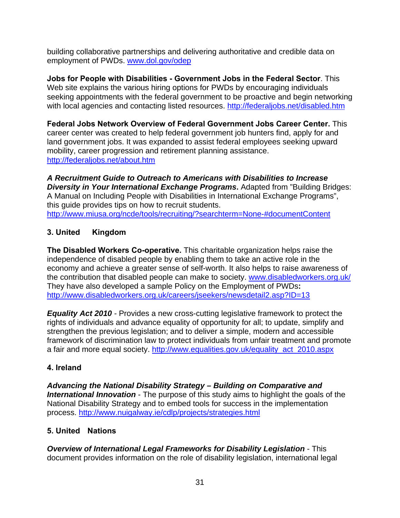building collaborative partnerships and delivering authoritative and credible data on employment of PWDs. www.dol.gov/odep

**Jobs for People with Disabilities - Government Jobs in the Federal Sector**. This Web site explains the various hiring options for PWDs by encouraging individuals seeking appointments with the federal government to be proactive and begin networking with local agencies and contacting listed resources. http://federaljobs.net/disabled.htm

**Federal Jobs Network Overview of Federal Government Jobs Career Center.** This career center was created to help federal government job hunters find, apply for and land government jobs. It was expanded to assist federal employees seeking upward mobility, career progression and retirement planning assistance. http://federaljobs.net/about.htm

*A Recruitment Guide to Outreach to Americans with Disabilities to Increase*  **Diversity in Your International Exchange Programs.** Adapted from "Building Bridges: A Manual on Including People with Disabilities in International Exchange Programs", this guide provides tips on how to recruit students. http://www.miusa.org/ncde/tools/recruiting/?searchterm=None-#documentContent

# **3. United Kingdom**

**The Disabled Workers Co-operative.** This charitable organization helps raise the independence of disabled people by enabling them to take an active role in the economy and achieve a greater sense of self-worth. It also helps to raise awareness of the contribution that disabled people can make to society. www.disabledworkers.org.uk/ They have also developed a sample Policy on the Employment of PWDs**:**  http://www.disabledworkers.org.uk/careers/jseekers/newsdetail2.asp?ID=13

*Equality Act 2010 -* Provides a new cross-cutting legislative framework to protect the rights of individuals and advance equality of opportunity for all; to update, simplify and strengthen the previous legislation; and to deliver a simple, modern and accessible framework of discrimination law to protect individuals from unfair treatment and promote a fair and more equal society. http://www.equalities.gov.uk/equality\_act\_2010.aspx

## **4. Ireland**

*Advancing the National Disability Strategy – Building on Comparative and International Innovation* - The purpose of this study aims to highlight the goals of the National Disability Strategy and to embed tools for success in the implementation process. http://www.nuigalway.ie/cdlp/projects/strategies.html

# **5. United Nations**

*Overview of International Legal Frameworks for Disability Legislation* - This document provides information on the role of disability legislation, international legal